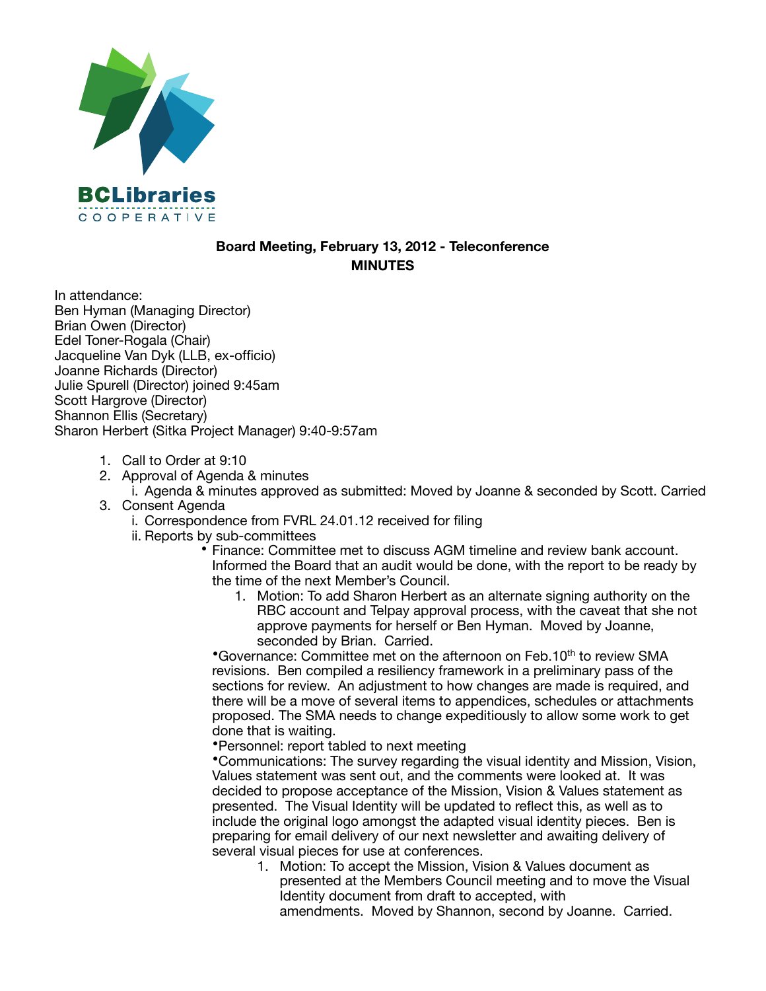

## **Board Meeting, February 13, 2012 - Teleconference MINUTES**

In attendance: Ben Hyman (Managing Director) Brian Owen (Director) Edel Toner-Rogala (Chair) Jacqueline Van Dyk (LLB, ex-officio) Joanne Richards (Director) Julie Spurell (Director) joined 9:45am Scott Hargrove (Director) Shannon Ellis (Secretary) Sharon Herbert (Sitka Project Manager) 9:40-9:57am

- 1. Call to Order at 9:10
- 2. Approval of Agenda & minutes

i. Agenda & minutes approved as submitted: Moved by Joanne & seconded by Scott. Carried 3. Consent Agenda

- i. Correspondence from FVRL 24.01.12 received for filing
- ii. Reports by sub-committees

• Finance: Committee met to discuss AGM timeline and review bank account. Informed the Board that an audit would be done, with the report to be ready by the time of the next Member's Council.

1. Motion: To add Sharon Herbert as an alternate signing authority on the RBC account and Telpay approval process, with the caveat that she not approve payments for herself or Ben Hyman. Moved by Joanne, seconded by Brian. Carried.

•Governance: Committee met on the afternoon on Feb.10<sup>th</sup> to review SMA revisions. Ben compiled a resiliency framework in a preliminary pass of the sections for review. An adjustment to how changes are made is required, and there will be a move of several items to appendices, schedules or attachments proposed. The SMA needs to change expeditiously to allow some work to get done that is waiting.

•Personnel: report tabled to next meeting

•Communications: The survey regarding the visual identity and Mission, Vision, Values statement was sent out, and the comments were looked at. It was decided to propose acceptance of the Mission, Vision & Values statement as presented. The Visual Identity will be updated to reflect this, as well as to include the original logo amongst the adapted visual identity pieces. Ben is preparing for email delivery of our next newsletter and awaiting delivery of several visual pieces for use at conferences.

1. Motion: To accept the Mission, Vision & Values document as presented at the Members Council meeting and to move the Visual Identity document from draft to accepted, with amendments. Moved by Shannon, second by Joanne. Carried.